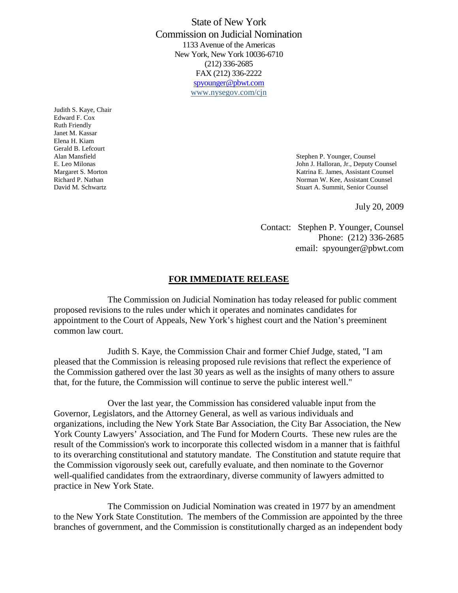State of New York Commission on Judicial Nomination 1133 Avenue of the Americas New York, New York 10036-6710 (212) 336-2685 FAX (212) 336-2222 spyounger@pbwt.com www.nysegov.com/cjn

Judith S. Kaye, Chair Edward F. Cox Ruth Friendly Janet M. Kassar Elena H. Kiam Gerald B. Lefcourt

Alan Mansfield Stephen P. Younger, Counsel E. Leo Milonas John J. Halloran, Jr., Deputy Counsel Margaret S. Morton **Margaret S. Morton** Katrina E. James, Assistant Counsel Richard P. Nathan Norman W. Kee, Assistant Counsel David M. Schwartz Stuart A. Summit, Senior Counsel

July 20, 2009

Contact: Stephen P. Younger, Counsel Phone: (212) 336-2685 email: spyounger@pbwt.com

## **FOR IMMEDIATE RELEASE**

The Commission on Judicial Nomination has today released for public comment proposed revisions to the rules under which it operates and nominates candidates for appointment to the Court of Appeals, New York's highest court and the Nation's preeminent common law court.

Judith S. Kaye, the Commission Chair and former Chief Judge, stated, "I am pleased that the Commission is releasing proposed rule revisions that reflect the experience of the Commission gathered over the last 30 years as well as the insights of many others to assure that, for the future, the Commission will continue to serve the public interest well."

Over the last year, the Commission has considered valuable input from the Governor, Legislators, and the Attorney General, as well as various individuals and organizations, including the New York State Bar Association, the City Bar Association, the New York County Lawyers' Association, and The Fund for Modern Courts. These new rules are the result of the Commission's work to incorporate this collected wisdom in a manner that is faithful to its overarching constitutional and statutory mandate. The Constitution and statute require that the Commission vigorously seek out, carefully evaluate, and then nominate to the Governor well-qualified candidates from the extraordinary, diverse community of lawyers admitted to practice in New York State.

The Commission on Judicial Nomination was created in 1977 by an amendment to the New York State Constitution. The members of the Commission are appointed by the three branches of government, and the Commission is constitutionally charged as an independent body